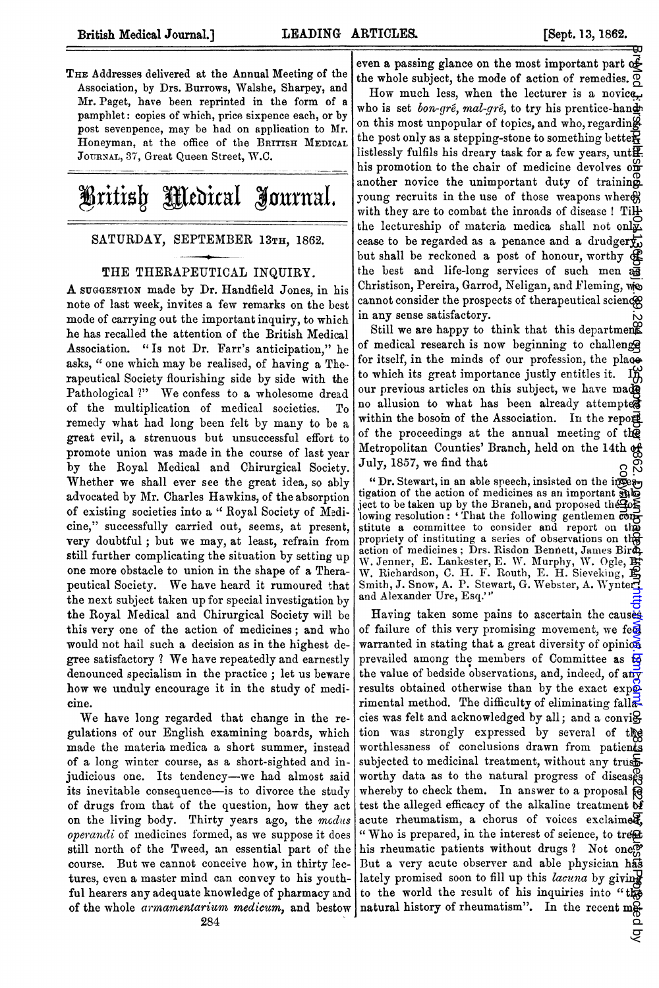THE Addresses delivered at the Annual Meeting of the Association, by Drs. Burrows, Walshe, Sharpey, and Mr. Paget, have been reprinted in the form of a pamphlet: copies of which, price sixpence each, or by post sevenpence, may be had on application to Mr. Honeyman, at the office of the BRITISH MEDICAL JOURNAL, 37, Great Queen Street, W.C.



## SATURDAY, SEPTEMBER 13TH, 1862.

## THE THERAPEUTICAL INQUIRY.

A SUGGESTION made by Dr. Handfield Jones, in his note of last week, invites a few remarks on the best mode of carrying out the important inquiry, to which he has recalled the attention of the British Medical Association. "Is not Dr. Farr's anticipation," he asks, " one which may be realised, of having a Therapeutical Society flourishing side by side with the Pathological ?" We confess to <sup>a</sup> wholesome dread of the multiplication of medical societies. To remedy what had long been felt by many to be a great evil, a strenuous but unsuccessful effort to promote union was made in the course of last year by the Royal Medical and Chirurgical Society. Whether we shall ever see the great idea, so ably advocated by Air. Charles Hawkins, of the absorption of existing societies into a " Royal Society of Medicine," successfully carried out, seems, at present, very doubtful; but we may, at least, refrain from still further complicating the situation by setting up one more obstacle to union in the shape of a Therapeutical Society. We have heard it rumoured that the next subject taken up for special investigation by the Royal Medical and Chirurgical Society will be this very one of the action of medicines; and who would not hail such a decision as in the highest degree satisfactory ? We have repeatedly and earnestly denounced specialism in the practice; let us beware how we unduly encourage it in the study of medicine.

We have long regarded that change in the regulations of our English examining boards, which made the materia medica a short summer, instead of a long winter course, as a short-sighted and injudicious one. Its tendency-we had almost said its inevitable consequence-is to divorce the study of drugs from that of the question, how they act on the living body. Thirty years ago, the modus operandi of medicines formed, as we suppose it does still north of the Tweed, an essential part of the course. But we cannot conceive how, in thirty lectures, even a master mind can convey to his youthful hearers any adequate knowledge of pharmacy and of the whole armamentarium medicum, and bestow

even a passing glance on the most important part of the whole subject, the mode of action of remedies.  $\overline{Q}$ How much less, when the lecturer is a novice. who is set *bon-gré*, mal-gré, to try his prentice-hand on this most unpopular of topics, and who, regarding the post only as a stepping-stone to something better. listlessly fulfils his dreary task for a few years, unt $\mathbf{F}$ his promotion to the chair of medicine devolves  $\sigma_{\mathbf{D}}^{\mathbf{C}}$ another novice the unimportant duty of training young recruits in the use of those weapons where with they are to combat the inroads of disease ! Tilly the lectureship of materia medica shall not only cease to be regarded as a penance and a drudgery, but shall be reckoned a post of honour, worthy of the best and life-long services of such men as Christison, Pereira, Garrod, Neligan, and Fleming, we cannot consider the prospects of therapeutical science in any sense satisfactory.

Still we are happy to think that this department of medical research is now beginning to challenge for itself, in the minds of our profession, the place to which its great importance justly entitles it. If our previous articles on this subject, we have made no allusion to what has been already attempted within the bosom of the Association. In the report of the proceedings at the annual meeting of the Metropolitan Counties' Branch, held on the 14th of July, 1857, we find that

" Dr. Stewart, in an able speech, insisted on the incestigation of the action of medicines as an important subject to be taken up by the Branch, and proposed the  $\mathbb{F}_2$ lowing resolution: 'That the following gentlemen con-<br>stitute a committee to consider and report on the<br>propriety of instituting a series of observations on the action of medicines; Drs. Risdon Bennett, James Bird, W. Jenner, E. Lankester, E. W. Murphy, W. Ogle, Br.<br>W. Richardson, C. H. F. Routh, E. H. Sieveking, B.<br>Smith, J. Snow, A. P. Stewart, G. Webster, A. Wynter and Alexander Ure, Esq."'

Having taken some pains to ascertain the causes of failure of this very promising movement, we feel warranted in stating that a great diversity of opinion prevailed among the members of Committee as to the value of bedside observations, and, indeed, of any results obtained otherwise than by the exact  $\exp\phi$ rimental method. The difficulty of eliminating fall $\vec{\mathbb{R}}$ cies was felt and acknowledged by all; and a convi $\Theta$ tion was strongly expressed by several of the worthlessness of conclusions drawn from patients subjected to medicinal treatment, without any trustworthy data as to the natural progress of diseases whereby to check them. In answer to a proposal  $\hat{\mathfrak{g}}$ test the alleged efficacy of the alkaline treatment  $\delta$ acute rheumatism, a chorus of voices exclaimed, " Who is prepared, in the interest of science, to treat his rheumatic patients without drugs ? Not one.<sup>17</sup> But a very acute observer and able physician has lately promised soon to fill up this lacuna by giving to the world the result of his inquiries into "the natural history of rheumatism". In the recent me-copyright.The 28 June 2022 by the 2022 by the 2022 by the 2022 by the 2022 by the 2022 of 2022 by the 2022 by the Br Med High And Department published as 2022 by the 2022 of 2.1136. As 2022 by the 2022 by the 2022 by the

्र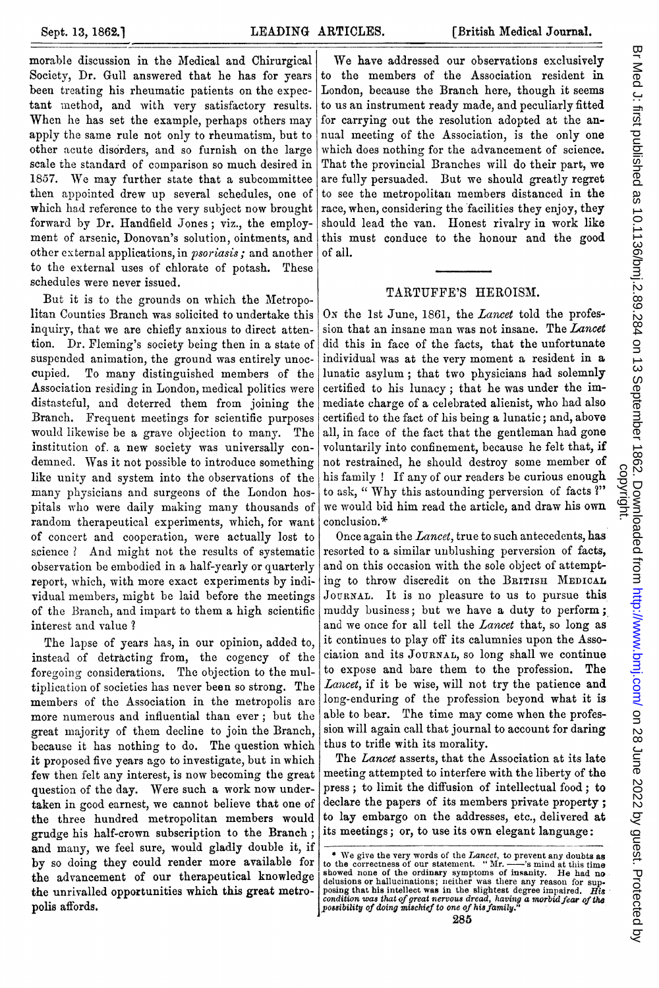morable discussion in the Medical and Chirurgical Society, Dr. Gull answered that he has for years been treating his rheumatic patients on the expectant method, and with very satisfactory results. When he has set the example, perhaps others may apply the same rule not only to rheumatism, but to other acute disorders, and so furnish on the large scale the standard of comparison so much desired in 1857. We may further state that <sup>a</sup> subcommittee then appointed drew up several schedules, one of which had reference to the very subject now brought forward by Dr. Handfield Jones; viz., the employment of arsenic, Donovan's solution, ointments, and other external applications, in psoriasis; and another to the external uses of chlorate of potash. These schedules were never issued.

But it is to the grounds on which the Metropolitan Counties Branch was solicited to undertake this inquiry, that we are chiefly anxious to direct attention. Dr. Fleming's society being then in a state of suspended animation, the ground was entirely unoccupied. To many distinguished members of the Association residing in London, medical politics were distasteful, and deterred them from joining the Branch. Frequent meetings for scientific purposes would likewise be a grave objection to many. The institution of. a new society was universally condemned. Was it not possible to introduce something like unity and system into the observations of the many physicians and surgeons of the London hospitals who were daily making many thousands of random therapeutical experiments, which, for want of concert and cooperation, were actually lost to science ? And might not the results of systematic observation be embodied in a half-yearly or quarterly report, which, with more exact experiments by individual members, might be laid before the meetings of the Branch, and impart to them a high scientific interest and value ?

The lapse of years has, in our opinion, added to, instead of detracting from, the cogency of the foregoing considerations. The objection to the multiplication of societies has never been so strong. The members of the Association in the metropolis are more numerous and influential than ever; but the great majority of them decline to join the Branch, because it has nothing, to do. The question which it proposed five years ago to investigate, but in which few then felt any interest, is now becoming the great question of the day. Were such a work now undertaken in good earnest, we cannot believe that one of the three hundred metropolitan members would grudge his half-crown subscription to the Branch; and many, we feel sure, would gladly double it, if by so doing they could render more available for the advancement of our therapeutical knowledge the unrivalled opportunities which this great metropolis affords.

We have addressed our observations exclusively to the members of the Association resident in London, because the Branch here, though it seems to us an instrument ready made, and peculiarly fitted for carrying out the resolution adopted at the annual meeting of the Association, is the only one which does nothing for the advancement of science. That the provincial Branches will do their part, we are fully persuaded. But we should greatly regret to see the metropolitan members distanced in the race, when, considering the facilities they enjoy, they should lead the van. Honest rivalry in work like this must conduce to the honour and the good of all.

## TARTUFFE'S HEROISM.

On the 1st June, 1861, the Lancet told the profession that an insane man was not insane. The Lancet did this in face of the facts, that the unfortunate individual was at the very moment a resident in a lunatic asylum; that two physicians had solemnly certified to his lunacy; that he was under the immediate charge of a celebrated alienist, who had also certified to the fact of his being a lunatic; and, above all, in face of the fact that the gentleman had gone voluntarily into confinement, because he felt that, if not restrained, he should destroy some member of his family ! If any of our readers be curious enough to ask, " Why this astounding perversion of facts ?" we would bid him read the article, and draw his own conclusion.\*

Once again the Lancet, true to such antecedents, has resorted to a similar unblushing perversion of facts, and on this occasion with the sole object of attempting to throw discredit on the BRITISH MEDICAL JOURNAL. It is no pleasure to us to pursue this muddy business; but we have a duty to perform; and we once for all tell the Lancet that, so long as it continues to play off its calumnies upon the Association and its JOURNAL, so long shall we continue to expose and bare them to the profession. The Lancet, if it be wise, will not try the patience and long-enduring of the profession beyond what it is able to bear. The time may come when the profession will again call that journal to account for daring thus to trifle with its morality.

The Lancet asserts, that the Association at its late meeting attempted to interfere with the liberty of the press; to limit the diffusion of intellectual food; to declare the papers of its members private property; to lay embargo on the addresses, etc., delivered at its meetings; or, to use its own elegant language:

<sup>\*</sup> We give the very words of the *Lancet*, to prevent any doubts as to the correctness of our statement. "Mr. ——"s mind at this time showed none of the ordinary symptoms of insanity. He had no delusions or hallucinations;